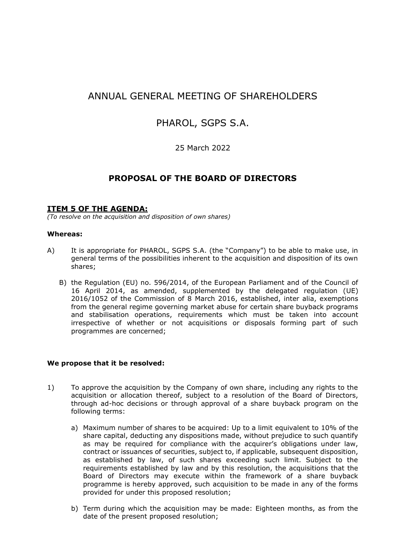# ANNUAL GENERAL MEETING OF SHAREHOLDERS

## PHAROL, SGPS S.A.

### 25 March 2022

## **PROPOSAL OF THE BOARD OF DIRECTORS**

### **ITEM 5 OF THE AGENDA:**

*(To resolve on the acquisition and disposition of own shares)*

#### **Whereas:**

- A) It is appropriate for PHAROL, SGPS S.A. (the "Company") to be able to make use, in general terms of the possibilities inherent to the acquisition and disposition of its own shares;
	- B) the Regulation (EU) no. 596/2014, of the European Parliament and of the Council of 16 April 2014, as amended, supplemented by the delegated regulation (UE) 2016/1052 of the Commission of 8 March 2016, established, inter alia, exemptions from the general regime governing market abuse for certain share buyback programs and stabilisation operations, requirements which must be taken into account irrespective of whether or not acquisitions or disposals forming part of such programmes are concerned;

#### **We propose that it be resolved:**

- 1) To approve the acquisition by the Company of own share, including any rights to the acquisition or allocation thereof, subject to a resolution of the Board of Directors, through ad-hoc decisions or through approval of a share buyback program on the following terms:
	- a) Maximum number of shares to be acquired: Up to a limit equivalent to 10% of the share capital, deducting any dispositions made, without prejudice to such quantify as may be required for compliance with the acquirer's obligations under law, contract or issuances of securities, subject to, if applicable, subsequent disposition, as established by law, of such shares exceeding such limit. Subject to the requirements established by law and by this resolution, the acquisitions that the Board of Directors may execute within the framework of a share buyback programme is hereby approved, such acquisition to be made in any of the forms provided for under this proposed resolution;
	- b) Term during which the acquisition may be made: Eighteen months, as from the date of the present proposed resolution;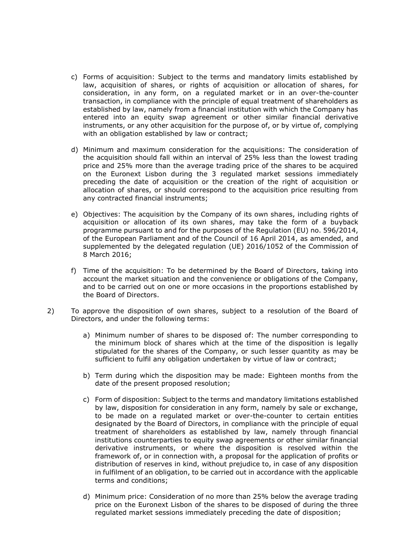- c) Forms of acquisition: Subject to the terms and mandatory limits established by law, acquisition of shares, or rights of acquisition or allocation of shares, for consideration, in any form, on a regulated market or in an over-the-counter transaction, in compliance with the principle of equal treatment of shareholders as established by law, namely from a financial institution with which the Company has entered into an equity swap agreement or other similar financial derivative instruments, or any other acquisition for the purpose of, or by virtue of, complying with an obligation established by law or contract;
- d) Minimum and maximum consideration for the acquisitions: The consideration of the acquisition should fall within an interval of 25% less than the lowest trading price and 25% more than the average trading price of the shares to be acquired on the Euronext Lisbon during the 3 regulated market sessions immediately preceding the date of acquisition or the creation of the right of acquisition or allocation of shares, or should correspond to the acquisition price resulting from any contracted financial instruments;
- e) Objectives: The acquisition by the Company of its own shares, including rights of acquisition or allocation of its own shares, may take the form of a buyback programme pursuant to and for the purposes of the Regulation (EU) no. 596/2014, of the European Parliament and of the Council of 16 April 2014, as amended, and supplemented by the delegated regulation (UE) 2016/1052 of the Commission of 8 March 2016;
- f) Time of the acquisition: To be determined by the Board of Directors, taking into account the market situation and the convenience or obligations of the Company, and to be carried out on one or more occasions in the proportions established by the Board of Directors.
- 2) To approve the disposition of own shares, subject to a resolution of the Board of Directors, and under the following terms:
	- a) Minimum number of shares to be disposed of: The number corresponding to the minimum block of shares which at the time of the disposition is legally stipulated for the shares of the Company, or such lesser quantity as may be sufficient to fulfil any obligation undertaken by virtue of law or contract;
	- b) Term during which the disposition may be made: Eighteen months from the date of the present proposed resolution;
	- c) Form of disposition: Subject to the terms and mandatory limitations established by law, disposition for consideration in any form, namely by sale or exchange, to be made on a regulated market or over-the-counter to certain entities designated by the Board of Directors, in compliance with the principle of equal treatment of shareholders as established by law, namely through financial institutions counterparties to equity swap agreements or other similar financial derivative instruments, or where the disposition is resolved within the framework of, or in connection with, a proposal for the application of profits or distribution of reserves in kind, without prejudice to, in case of any disposition in fulfilment of an obligation, to be carried out in accordance with the applicable terms and conditions;
	- d) Minimum price: Consideration of no more than 25% below the average trading price on the Euronext Lisbon of the shares to be disposed of during the three regulated market sessions immediately preceding the date of disposition;